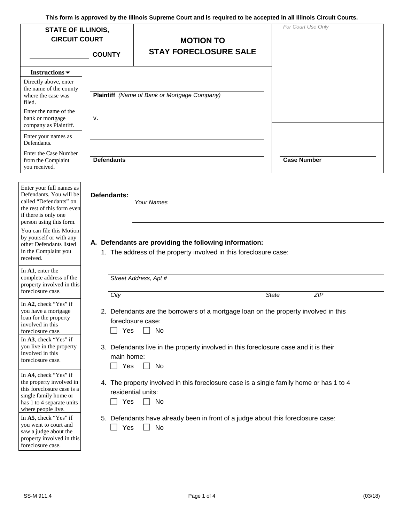| <b>STATE OF ILLINOIS,</b><br><b>CIRCUIT COURT</b>                                                                                                                                                                                                         |                           | <b>MOTION TO</b>                                                                                                                                 | For Court Use Only |
|-----------------------------------------------------------------------------------------------------------------------------------------------------------------------------------------------------------------------------------------------------------|---------------------------|--------------------------------------------------------------------------------------------------------------------------------------------------|--------------------|
|                                                                                                                                                                                                                                                           | <b>COUNTY</b>             | <b>STAY FORECLOSURE SALE</b>                                                                                                                     |                    |
| Instructions $\blacktriangledown$                                                                                                                                                                                                                         |                           |                                                                                                                                                  |                    |
| Directly above, enter<br>the name of the county<br>where the case was<br>filed.                                                                                                                                                                           |                           | Plaintiff (Name of Bank or Mortgage Company)                                                                                                     |                    |
| Enter the name of the<br>bank or mortgage<br>company as Plaintiff.                                                                                                                                                                                        | v.                        |                                                                                                                                                  |                    |
| Enter your names as<br>Defendants.                                                                                                                                                                                                                        |                           |                                                                                                                                                  |                    |
| Enter the Case Number<br>from the Complaint<br>you received.                                                                                                                                                                                              | <b>Defendants</b>         |                                                                                                                                                  | <b>Case Number</b> |
| Defendants. You will be<br>called "Defendants" on<br>the rest of this form even<br>if there is only one<br>person using this form.<br>You can file this Motion<br>by yourself or with any<br>other Defendants listed<br>in the Complaint you<br>received. | Defendants:               | <b>Your Names</b><br>A. Defendants are providing the following information:<br>1. The address of the property involved in this foreclosure case: |                    |
| In A1, enter the<br>complete address of the<br>property involved in this<br>foreclosure case.                                                                                                                                                             |                           | Street Address, Apt #                                                                                                                            |                    |
| In A2, check "Yes" if<br>you have a mortgage<br>loan for the property<br>involved in this<br>foreclosure case.<br>In A3, check "Yes" if                                                                                                                   | City<br>Yes               | 2. Defendants are the borrowers of a mortgage loan on the property involved in this<br>foreclosure case:<br>No                                   | State<br>ZIP       |
| you live in the property<br>involved in this<br>foreclosure case.                                                                                                                                                                                         | main home:<br>Yes         | 3. Defendants live in the property involved in this foreclosure case and it is their<br>No                                                       |                    |
| In A4, check "Yes" if<br>the property involved in<br>this foreclosure case is a<br>single family home or<br>has 1 to 4 separate units<br>where people live.                                                                                               | residential units:<br>Yes | 4. The property involved in this foreclosure case is a single family home or has 1 to 4<br>No                                                    |                    |
| In A5, check "Yes" if<br>you went to court and<br>saw a judge about the<br>property involved in this<br>foreclosure case.                                                                                                                                 | Yes                       | 5. Defendants have already been in front of a judge about this foreclosure case:<br>No                                                           |                    |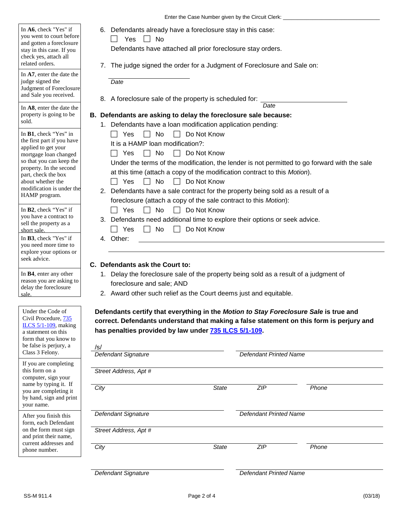Enter the Case Number given by the Circuit Clerk: \_\_\_\_\_\_\_\_\_\_\_\_\_\_\_\_\_\_\_\_\_\_\_\_\_\_\_\_\_\_

6. Defendants already have a foreclosure stay in this case:

| I<br> |  | ง∩ |
|-------|--|----|
|-------|--|----|

you went to court before

and gotten a foreclosure

In **A6**, check "Yes" if

stay in this case. If you

check yes, attach all related orders.

Defendants have attached all prior foreclosure stay orders.

7. The judge signed the order for a Judgment of Foreclosure and Sale on:

| In A7, enter the date the<br>judge signed the<br>Judgment of Foreclosure<br>and Sale you received. | Date<br>8. A foreclosure sale of the property is scheduled for:                                                                                                                   |  |  |  |  |  |  |
|----------------------------------------------------------------------------------------------------|-----------------------------------------------------------------------------------------------------------------------------------------------------------------------------------|--|--|--|--|--|--|
| In A8, enter the date the                                                                          | Date                                                                                                                                                                              |  |  |  |  |  |  |
| property is going to be                                                                            | B. Defendants are asking to delay the foreclosure sale because:                                                                                                                   |  |  |  |  |  |  |
| sold.                                                                                              | 1. Defendants have a loan modification application pending:                                                                                                                       |  |  |  |  |  |  |
| In <b>B1</b> , check "Yes" in                                                                      | Do Not Know<br>Yes<br>No.                                                                                                                                                         |  |  |  |  |  |  |
| the first part if you have                                                                         | It is a HAMP loan modification?:                                                                                                                                                  |  |  |  |  |  |  |
| applied to get your<br>mortgage loan changed                                                       | No<br>Do Not Know<br>Yes                                                                                                                                                          |  |  |  |  |  |  |
| so that you can keep the                                                                           | Under the terms of the modification, the lender is not permitted to go forward with the sale<br>at this time (attach a copy of the modification contract to this <i>Motion</i> ). |  |  |  |  |  |  |
| property. In the second<br>part, check the box                                                     |                                                                                                                                                                                   |  |  |  |  |  |  |
| about whether the                                                                                  | Yes<br>Do Not Know<br>No.                                                                                                                                                         |  |  |  |  |  |  |
| modification is under the                                                                          | 2. Defendants have a sale contract for the property being sold as a result of a                                                                                                   |  |  |  |  |  |  |
| HAMP program.                                                                                      | foreclosure (attach a copy of the sale contract to this <i>Motion</i> ):                                                                                                          |  |  |  |  |  |  |
| In <b>B2</b> , check "Yes" if                                                                      | Yes<br>No.<br>Do Not Know                                                                                                                                                         |  |  |  |  |  |  |
| you have a contract to                                                                             | 3. Defendants need additional time to explore their options or seek advice.                                                                                                       |  |  |  |  |  |  |
| sell the property as a<br>short sale.                                                              | No<br>Do Not Know<br>Yes                                                                                                                                                          |  |  |  |  |  |  |
| In B3, check "Yes" if                                                                              | Other:<br>4.                                                                                                                                                                      |  |  |  |  |  |  |
| you need more time to<br>explore your options or<br>seek advice.                                   |                                                                                                                                                                                   |  |  |  |  |  |  |
|                                                                                                    |                                                                                                                                                                                   |  |  |  |  |  |  |
|                                                                                                    | Defendants ask the Court to:<br>C.                                                                                                                                                |  |  |  |  |  |  |
| In <b>B4</b> , enter any other                                                                     | Delay the foreclosure sale of the property being sold as a result of a judgment of<br>1.                                                                                          |  |  |  |  |  |  |

- 1. Delay the foreclosure sale of the property being sold as a result of a judgment of foreclosure and sale; AND
	- 2. Award other such relief as the Court deems just and equitable.

 **correct. Defendants understand that making a false statement on this form is perjury and Defendants certify that everything in the** *Motion to Stay Foreclosure Sale* **is true and has penalties provided by law under 735 ILCS 5/1-109.** 

| $\sqrt{s}$<br>Defendant Signature |              | <b>Defendant Printed Name</b> |       |  |
|-----------------------------------|--------------|-------------------------------|-------|--|
| Street Address, Apt #             |              |                               |       |  |
| City                              | <b>State</b> | ZIP                           | Phone |  |
| Defendant Signature               |              | <b>Defendant Printed Name</b> |       |  |
| Street Address, Apt #             |              |                               |       |  |
| City                              | State        | ZIP                           | Phone |  |
|                                   |              |                               |       |  |

*Defendant Signature Defendant Printed Name* 

Under the Code of

Civil Procedure, 735 ILCS 5/1-109, making a statement on this form that you know to be false is perjury, a Class 3 Felony.

reason you are asking to delay the foreclosure

sale.

name by typing it. If

you are completing it by hand, sign and print

If you are completing this form on a computer, sign your

on the form must sign

and print their name, current addresses and phone number.

After you finish this form, each Defendant

your name.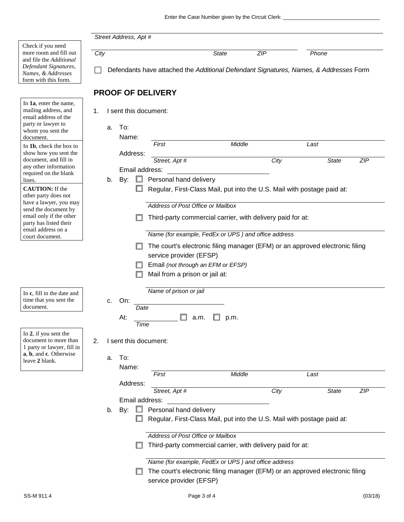|                                                      |      |    | Street Address, Apt #    |                        |                                                                                       |              |      |              |            |
|------------------------------------------------------|------|----|--------------------------|------------------------|---------------------------------------------------------------------------------------|--------------|------|--------------|------------|
| Check if you need                                    |      |    |                          |                        |                                                                                       |              |      |              |            |
| more room and fill out<br>and file the Additional    | City |    |                          |                        |                                                                                       | <b>State</b> | ZIP  | Phone        |            |
| Defendant Signatures,                                |      |    |                          |                        |                                                                                       |              |      |              |            |
| Names, & Addresses                                   |      |    |                          |                        | Defendants have attached the Additional Defendant Signatures, Names, & Addresses Form |              |      |              |            |
| form with this form.                                 |      |    |                          |                        |                                                                                       |              |      |              |            |
|                                                      |      |    | <b>PROOF OF DELIVERY</b> |                        |                                                                                       |              |      |              |            |
| In 1a, enter the name,                               |      |    |                          |                        |                                                                                       |              |      |              |            |
| mailing address, and<br>email address of the         | 1.   |    | I sent this document:    |                        |                                                                                       |              |      |              |            |
| party or lawyer to                                   |      | a. | To:                      |                        |                                                                                       |              |      |              |            |
| whom you sent the<br>document.                       |      |    | Name:                    |                        |                                                                                       |              |      |              |            |
| In 1b, check the box to                              |      |    |                          | First                  |                                                                                       | Middle       |      | Last         |            |
| show how you sent the                                |      |    | Address:                 |                        |                                                                                       |              |      |              |            |
| document, and fill in<br>any other information       |      |    |                          | Street, Apt #          |                                                                                       |              | City | <b>State</b> | ZIP        |
| required on the blank                                |      |    | Email address:           |                        |                                                                                       |              |      |              |            |
| lines.                                               |      | b. | By:                      |                        | Personal hand delivery                                                                |              |      |              |            |
| <b>CAUTION:</b> If the<br>other party does not       |      |    |                          |                        | Regular, First-Class Mail, put into the U.S. Mail with postage paid at:               |              |      |              |            |
| have a lawyer, you may                               |      |    |                          |                        | Address of Post Office or Mailbox                                                     |              |      |              |            |
| send the document by<br>email only if the other      |      |    |                          |                        |                                                                                       |              |      |              |            |
| party has listed their                               |      |    |                          |                        | Third-party commercial carrier, with delivery paid for at:                            |              |      |              |            |
| email address on a<br>court document.                |      |    |                          |                        | Name (for example, FedEx or UPS) and office address                                   |              |      |              |            |
|                                                      |      |    |                          |                        | The court's electronic filing manager (EFM) or an approved electronic filing          |              |      |              |            |
|                                                      |      |    |                          |                        | service provider (EFSP)                                                               |              |      |              |            |
|                                                      |      |    |                          |                        | Email (not through an EFM or EFSP)                                                    |              |      |              |            |
|                                                      |      |    |                          |                        | Mail from a prison or jail at:                                                        |              |      |              |            |
|                                                      |      |    |                          |                        |                                                                                       |              |      |              |            |
| In c, fill in the date and                           |      |    |                          | Name of prison or jail |                                                                                       |              |      |              |            |
| time that you sent the<br>document.                  |      | c. | On:                      |                        |                                                                                       |              |      |              |            |
|                                                      |      |    | Date                     |                        |                                                                                       |              |      |              |            |
|                                                      |      |    | At:<br>Time              |                        | a.m.                                                                                  | p.m.         |      |              |            |
| In 2, if you sent the                                |      |    |                          |                        |                                                                                       |              |      |              |            |
| document to more than                                | 2.   |    | I sent this document:    |                        |                                                                                       |              |      |              |            |
| 1 party or lawyer, fill in<br>a, b, and c. Otherwise |      |    |                          |                        |                                                                                       |              |      |              |            |
| leave 2 blank.                                       |      | а. | To:                      |                        |                                                                                       |              |      |              |            |
|                                                      |      |    | Name:                    | First                  |                                                                                       | Middle       |      | Last         |            |
|                                                      |      |    | Address:                 |                        |                                                                                       |              |      |              |            |
|                                                      |      |    |                          | Street, Apt #          |                                                                                       |              | City | State        | <b>ZIP</b> |
|                                                      |      |    | Email address:           |                        |                                                                                       |              |      |              |            |
|                                                      |      | b. | By:                      |                        | Personal hand delivery                                                                |              |      |              |            |
|                                                      |      |    |                          |                        | Regular, First-Class Mail, put into the U.S. Mail with postage paid at:               |              |      |              |            |
|                                                      |      |    |                          |                        | Address of Post Office or Mailbox                                                     |              |      |              |            |
|                                                      |      |    |                          |                        | Third-party commercial carrier, with delivery paid for at:                            |              |      |              |            |
|                                                      |      |    |                          |                        |                                                                                       |              |      |              |            |
|                                                      |      |    |                          |                        | Name (for example, FedEx or UPS) and office address                                   |              |      |              |            |
|                                                      |      |    |                          |                        | The court's electronic filing manager (EFM) or an approved electronic filing          |              |      |              |            |
|                                                      |      |    |                          |                        | service provider (EFSP)                                                               |              |      |              |            |